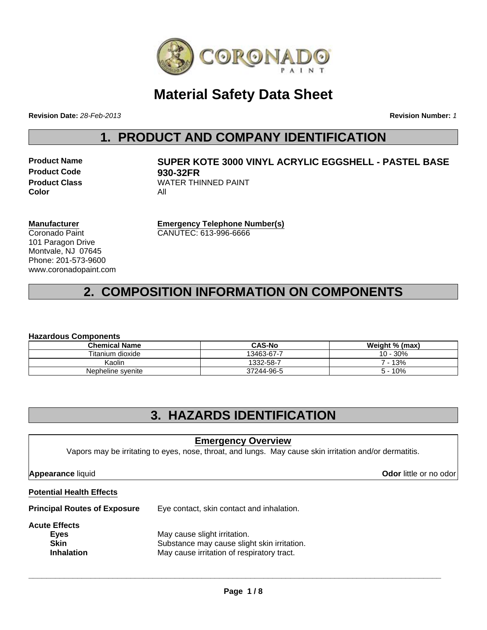

## **Material Safety Data Sheet**

**Revision Date:** *28-Feb-2013*

**Revision Number:** *1*

### **1. PRODUCT AND COMPANY IDENTIFICATION**

**Product Code 930-32FR Color** All

# **Product Name SUPER KOTE 3000 VINYL ACRYLIC EGGSHELL - PASTEL BASE Product Class WATER THINNED PAINT**

**Manufacturer** Coronado Paint 101 Paragon Drive Montvale, NJ 07645 Phone: 201-573-9600 www.coronadopaint.com **Emergency Telephone Number(s)** CANUTEC: 613-996-6666

## **2. COMPOSITION INFORMATION ON COMPONENTS**

#### **Hazardous Components**

| <b>Chemical Name</b> | <b>CAS-No</b> | Weight % (max) |  |  |
|----------------------|---------------|----------------|--|--|
| Titanium dioxide     | 13463-67-7    | 10 - 30%       |  |  |
| Kaolin               | 1332-58-7     | 7 - 13%        |  |  |
| Nepheline syenite    | 37244-96-5    | 10%            |  |  |

### **3. HAZARDS IDENTIFICATION**

#### **Emergency Overview**

Vapors may be irritating to eyes, nose, throat, and lungs. May cause skin irritation and/or dermatitis.

**Appearance** liquid **Odor** little or no odor

#### **Potential Health Effects**

**Principal Routes of Exposure** Eye contact, skin contact and inhalation.

#### **Acute Effects**

| .                 |                                             |
|-------------------|---------------------------------------------|
| Eyes              | May cause slight irritation.                |
| <b>Skin</b>       | Substance may cause slight skin irritation. |
| <b>Inhalation</b> | May cause irritation of respiratory tract.  |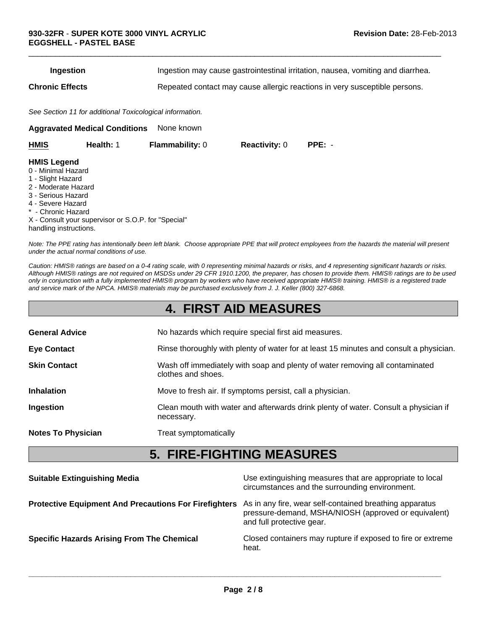| Ingestion | Ingestion may cause gastrointestinal irritation, nausea, vomiting and diarrhea. |  |
|-----------|---------------------------------------------------------------------------------|--|
|           |                                                                                 |  |

 $\Box$ 

**Chronic Effects** Repeated contact may cause allergic reactions in very susceptible persons.

*See Section 11 for additional Toxicological information.*

**Aggravated Medical Conditions** None known

| <b>HMIS Legend</b><br>0 - Minimal Hazard<br>1 - Slight Hazard<br>2 - Moderate Hazard<br>3 - Serious Hazard<br>4 - Severe Hazard<br>* - Chronic Hazard | <b>HMIS</b><br>Health: 1 | <b>Flammability: 0</b> | <b>Reactivity: 0</b> | $PPE: -$ |
|-------------------------------------------------------------------------------------------------------------------------------------------------------|--------------------------|------------------------|----------------------|----------|
| X - Consult your supervisor or S.O.P. for "Special"<br>handling instructions.                                                                         |                          |                        |                      |          |

*Note: The PPE rating has intentionally been left blank. Choose appropriate PPE that will protect employees from the hazards the material will present under the actual normal conditions of use.*

*Caution: HMIS® ratings are based on a 0-4 rating scale, with 0 representing minimal hazards or risks, and 4 representing significant hazards or risks. Although HMIS® ratings are not required on MSDSs under 29 CFR 1910.1200, the preparer, has chosen to provide them. HMIS® ratings are to be used only in conjunction with a fully implemented HMIS® program by workers who have received appropriate HMIS® training. HMIS® is a registered trade and service mark of the NPCA. HMIS® materials may be purchased exclusively from J. J. Keller (800) 327-6868.*

### **4. FIRST AID MEASURES**

| <b>General Advice</b>     | No hazards which require special first aid measures.                                               |
|---------------------------|----------------------------------------------------------------------------------------------------|
| <b>Eye Contact</b>        | Rinse thoroughly with plenty of water for at least 15 minutes and consult a physician.             |
| <b>Skin Contact</b>       | Wash off immediately with soap and plenty of water removing all contaminated<br>clothes and shoes. |
| <b>Inhalation</b>         | Move to fresh air. If symptoms persist, call a physician.                                          |
| Ingestion                 | Clean mouth with water and afterwards drink plenty of water. Consult a physician if<br>necessary.  |
| <b>Notes To Physician</b> | Treat symptomatically                                                                              |

### **5. FIRE-FIGHTING MEASURES**

| <b>Suitable Extinguishing Media</b>                          | Use extinguishing measures that are appropriate to local<br>circumstances and the surrounding environment.                                   |
|--------------------------------------------------------------|----------------------------------------------------------------------------------------------------------------------------------------------|
| <b>Protective Equipment And Precautions For Firefighters</b> | As in any fire, wear self-contained breathing apparatus<br>pressure-demand, MSHA/NIOSH (approved or equivalent)<br>and full protective gear. |
| <b>Specific Hazards Arising From The Chemical</b>            | Closed containers may rupture if exposed to fire or extreme<br>heat.                                                                         |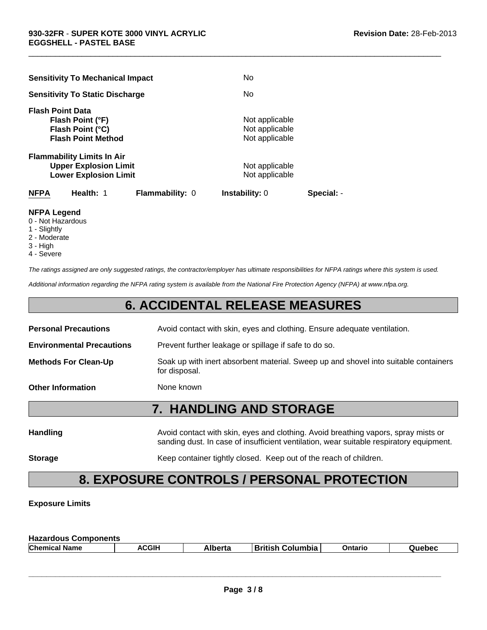| <b>Sensitivity To Mechanical Impact</b>                                                           | No                                                 |            |
|---------------------------------------------------------------------------------------------------|----------------------------------------------------|------------|
| <b>Sensitivity To Static Discharge</b>                                                            | No                                                 |            |
| <b>Flash Point Data</b><br>Flash Point (°F)<br>Flash Point (°C)<br><b>Flash Point Method</b>      | Not applicable<br>Not applicable<br>Not applicable |            |
| <b>Flammability Limits In Air</b><br><b>Upper Explosion Limit</b><br><b>Lower Explosion Limit</b> | Not applicable<br>Not applicable                   |            |
| Health: 1<br><b>NFPA</b><br><b>Flammability: 0</b>                                                | <b>Instability: 0</b>                              | Special: - |

#### **NFPA Legend**

- 0 Not Hazardous
- 1 Slightly
- 2 Moderate
- 3 High
- 4 Severe

*The ratings assigned are only suggested ratings, the contractor/employer has ultimate responsibilities for NFPA ratings where this system is used.*

 $\Box$ 

*Additional information regarding the NFPA rating system is available from the National Fire Protection Agency (NFPA) at www.nfpa.org.*

### **6. ACCIDENTAL RELEASE MEASURES**

| <b>7. HANDLING AND STORAGE</b>                                                                       |
|------------------------------------------------------------------------------------------------------|
|                                                                                                      |
| None known                                                                                           |
| Soak up with inert absorbent material. Sweep up and shovel into suitable containers<br>for disposal. |
| Prevent further leakage or spillage if safe to do so.                                                |
| Avoid contact with skin, eyes and clothing. Ensure adequate ventilation.                             |
|                                                                                                      |

| <b>Handling</b> | Avoid contact with skin, eyes and clothing. Avoid breathing vapors, spray mists or<br>sanding dust. In case of insufficient ventilation, wear suitable respiratory equipment. |
|-----------------|-------------------------------------------------------------------------------------------------------------------------------------------------------------------------------|
| <b>Storage</b>  | Keep container tightly closed. Keep out of the reach of children.                                                                                                             |

## **8. EXPOSURE CONTROLS / PERSONAL PROTECTION**

#### **Exposure Limits**

| <b>Hazardous Components</b> |       |         |                         |         |        |
|-----------------------------|-------|---------|-------------------------|---------|--------|
| <b>Chemical Name</b>        | ACGIH | Alberta | <b>British Columbia</b> | Ontario | Quebec |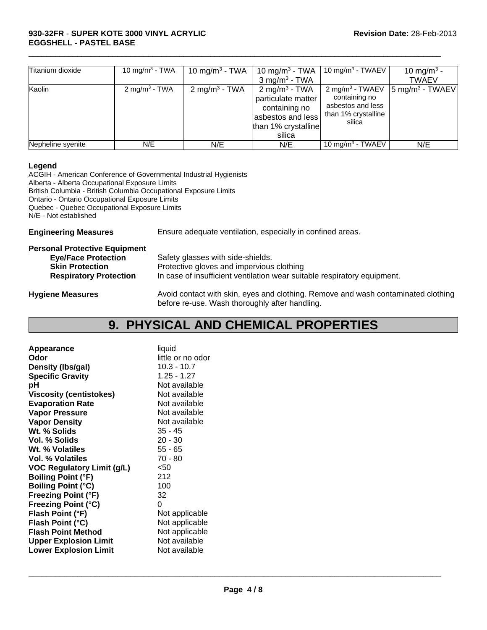| Titanium dioxide  | 10 mg/m <sup>3</sup> - TWA | 10 mg/m <sup>3</sup> - TWA | 10 mg/m <sup>3</sup> - TWA<br>$3 \text{ mg/m}^3$ - TWA                                                                | 10 mg/m <sup>3</sup> - TWAEV                                                                       | 10 mg/m <sup>3</sup> -<br><b>TWAEV</b> |
|-------------------|----------------------------|----------------------------|-----------------------------------------------------------------------------------------------------------------------|----------------------------------------------------------------------------------------------------|----------------------------------------|
| Kaolin            | $2 \text{ mg/m}^3$ - TWA   | $2 \text{ mg/m}^3$ - TWA   | $2 \text{ mg/m}^3$ - TWA<br>particulate matter<br>containing no<br>asbestos and less<br>than 1% crystalline<br>silica | 2 mg/m <sup>3</sup> - TWAEV<br>containing no<br>asbestos and less<br>than 1% crystalline<br>silica | $ 5 \text{ mg/m}^3 - TWAEV $           |
| Nepheline syenite | N/E                        | N/E                        | N/E                                                                                                                   | 10 mg/m <sup>3</sup> - TWAEV                                                                       | N/E                                    |

 $\Box$ 

#### **Legend**

ACGIH - American Conference of Governmental Industrial Hygienists Alberta - Alberta Occupational Exposure Limits British Columbia - British Columbia Occupational Exposure Limits Ontario - Ontario Occupational Exposure Limits Quebec - Quebec Occupational Exposure Limits N/E - Not established

**Engineering Measures** Ensure adequate ventilation, especially in confined areas.

| <b>Personal Protective Equipment</b> |                                                                                                                                     |
|--------------------------------------|-------------------------------------------------------------------------------------------------------------------------------------|
| <b>Eye/Face Protection</b>           | Safety glasses with side-shields.                                                                                                   |
| <b>Skin Protection</b>               | Protective gloves and impervious clothing                                                                                           |
| <b>Respiratory Protection</b>        | In case of insufficient ventilation wear suitable respiratory equipment.                                                            |
| <b>Hygiene Measures</b>              | Avoid contact with skin, eyes and clothing. Remove and wash contaminated clothing<br>before re-use. Wash thoroughly after handling. |

### **9. PHYSICAL AND CHEMICAL PROPERTIES**

| Appearance                        | liquid            |
|-----------------------------------|-------------------|
| Odor                              | little or no odor |
| Density (Ibs/gal)                 | $10.3 - 10.7$     |
| <b>Specific Gravity</b>           | $1.25 - 1.27$     |
| рH                                | Not available     |
| <b>Viscosity (centistokes)</b>    | Not available     |
| <b>Evaporation Rate</b>           | Not available     |
| <b>Vapor Pressure</b>             | Not available     |
| <b>Vapor Density</b>              | Not available     |
| Wt. % Solids                      | $35 - 45$         |
| Vol. % Solids                     | $20 - 30$         |
| Wt. % Volatiles                   | 55 - 65           |
| Vol. % Volatiles                  | 70 - 80           |
| <b>VOC Regulatory Limit (g/L)</b> | $50$              |
| <b>Boiling Point (°F)</b>         | 212               |
| <b>Boiling Point (°C)</b>         | 100               |
| <b>Freezing Point (°F)</b>        | 32                |
| <b>Freezing Point (°C)</b>        | 0                 |
| Flash Point (°F)                  | Not applicable    |
| Flash Point (°C)                  | Not applicable    |
| <b>Flash Point Method</b>         | Not applicable    |
| <b>Upper Explosion Limit</b>      | Not available     |
| <b>Lower Explosion Limit</b>      | Not available     |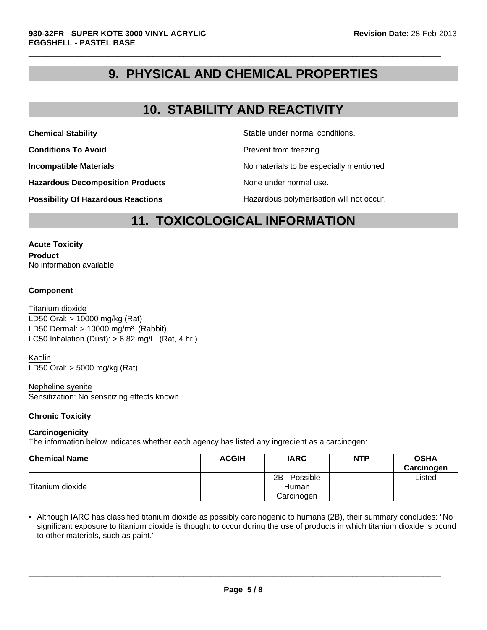### **9. PHYSICAL AND CHEMICAL PROPERTIES**

 $\Box$ 

### **10. STABILITY AND REACTIVITY**

**Conditions To Avoid Prevent from freezing** 

**Chemical Stability** Stable under normal conditions.

**Incompatible Materials Incompatible Materials No materials to be especially mentioned** 

**Hazardous Decomposition Products** None under normal use.

**Possibility Of Hazardous Reactions The Constant Hazardous polymerisation will not occur.** 

### **11. TOXICOLOGICAL INFORMATION**

#### **Acute Toxicity**

**Product** No information available

#### **Component**

LD50 Dermal:  $> 10000$  mg/m<sup>3</sup> (Rabbit) Titanium dioxide LC50 Inhalation (Dust):  $> 6.82$  mg/L (Rat, 4 hr.) LD50 Oral: > 10000 mg/kg (Rat)

Kaolin LD50 Oral: > 5000 mg/kg (Rat)

#### Nepheline syenite

Sensitization: No sensitizing effects known.

#### **Chronic Toxicity**

#### **Carcinogenicity**

The information below indicates whether each agency has listed any ingredient as a carcinogen:

| <b>Chemical Name</b> | <b>ACGIH</b> | <b>IARC</b>            | <b>NTP</b> | <b>OSHA</b><br>Carcinogen |
|----------------------|--------------|------------------------|------------|---------------------------|
| Titanium dioxide     |              | 2B - Possible<br>Human |            | ∟isted                    |
|                      |              | Carcinogen             |            |                           |

• Although IARC has classified titanium dioxide as possibly carcinogenic to humans (2B), their summary concludes: "No significant exposure to titanium dioxide is thought to occur during the use of products in which titanium dioxide is bound to other materials, such as paint."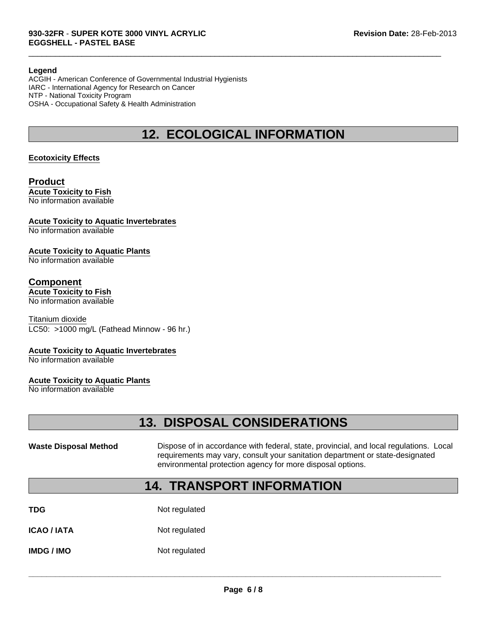#### **Legend**

ACGIH - American Conference of Governmental Industrial Hygienists IARC - International Agency for Research on Cancer NTP - National Toxicity Program OSHA - Occupational Safety & Health Administration

### **12. ECOLOGICAL INFORMATION**

 $\Box$ 

#### **Ecotoxicity Effects**

#### **Product Acute Toxicity to Fish** No information available

#### **Acute Toxicity to Aquatic Invertebrates**

No information available

#### **Acute Toxicity to Aquatic Plants**

No information available

### **Component**

### **Acute Toxicity to Fish**

No information available

Titanium dioxide LC50: >1000 mg/L (Fathead Minnow - 96 hr.)

#### **Acute Toxicity to Aquatic Invertebrates**

No information available

#### **Acute Toxicity to Aquatic Plants**

No information available

### **13. DISPOSAL CONSIDERATIONS**

Waste Disposal Method **Dispose of in accordance with federal, state, provincial, and local regulations. Local** requirements may vary, consult your sanitation department or state-designated environmental protection agency for more disposal options.

### **14. TRANSPORT INFORMATION**

| TDG | Not regulated |
|-----|---------------|
|     |               |

**ICAO / IATA** Not regulated

**IMDG / IMO** Not regulated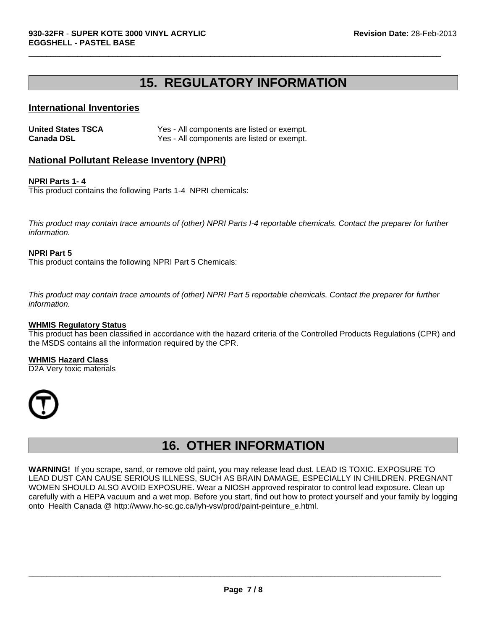### **15. REGULATORY INFORMATION**

 $\Box$ 

#### **International Inventories**

| <b>United States TSCA</b> | Yes - All components are listed or exempt. |
|---------------------------|--------------------------------------------|
| <b>Canada DSL</b>         | Yes - All components are listed or exempt. |

#### **National Pollutant Release Inventory (NPRI)**

#### **NPRI Parts 1- 4**

This product contains the following Parts 1-4 NPRI chemicals:

*This product may contain trace amounts of (other) NPRI Parts I-4 reportable chemicals. Contact the preparer for further information.*

#### **NPRI Part 5**

This product contains the following NPRI Part 5 Chemicals:

*This product may contain trace amounts of (other) NPRI Part 5 reportable chemicals. Contact the preparer for further information.*

#### **WHMIS Regulatory Status**

This product has been classified in accordance with the hazard criteria of the Controlled Products Regulations (CPR) and the MSDS contains all the information required by the CPR.

**WHMIS Hazard Class** D2A Very toxic materials



### **16. OTHER INFORMATION**

**WARNING!** If you scrape, sand, or remove old paint, you may release lead dust. LEAD IS TOXIC. EXPOSURE TO LEAD DUST CAN CAUSE SERIOUS ILLNESS, SUCH AS BRAIN DAMAGE, ESPECIALLY IN CHILDREN. PREGNANT WOMEN SHOULD ALSO AVOID EXPOSURE. Wear a NIOSH approved respirator to control lead exposure. Clean up carefully with a HEPA vacuum and a wet mop. Before you start, find out how to protect yourself and your family by logging onto Health Canada @ http://www.hc-sc.gc.ca/iyh-vsv/prod/paint-peinture\_e.html.